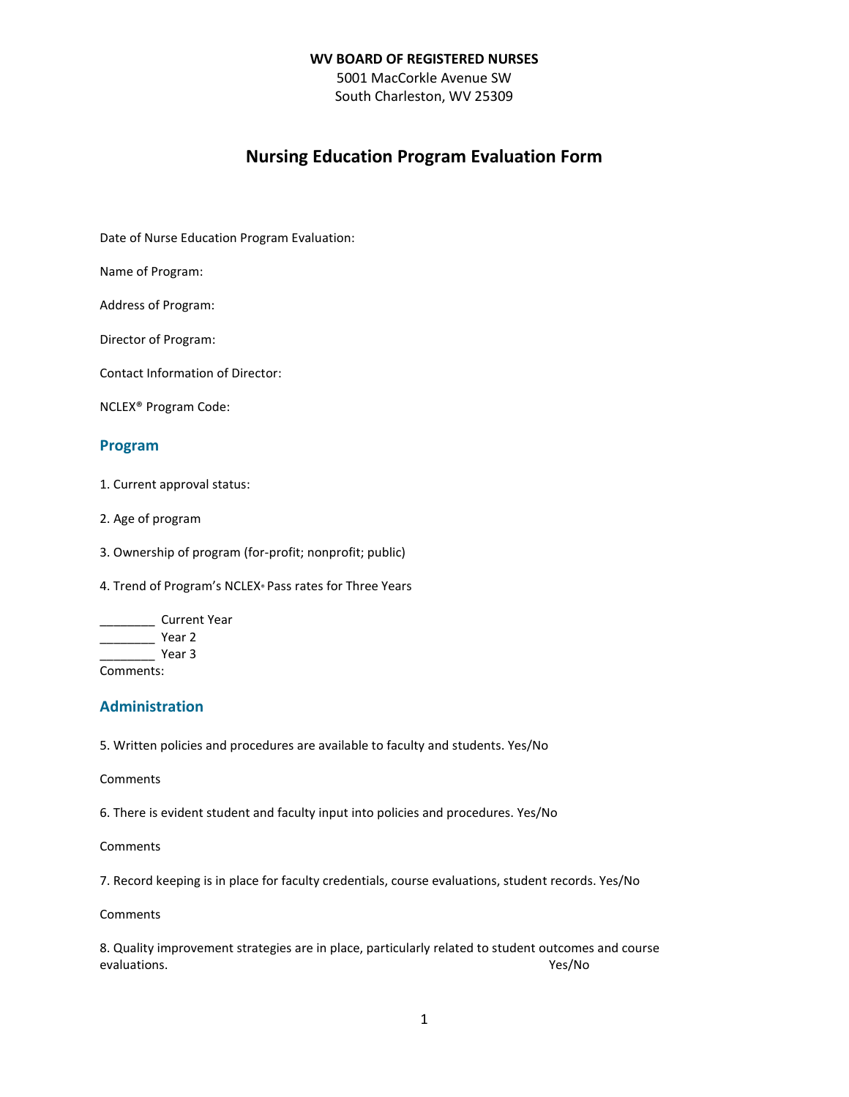5001 MacCorkle Avenue SW South Charleston, WV 25309

# **Nursing Education Program Evaluation Form**

Date of Nurse Education Program Evaluation:

Name of Program:

Address of Program:

Director of Program:

Contact Information of Director:

NCLEX® Program Code:

# **Program**

1. Current approval status:

2. Age of program

3. Ownership of program (for-profit; nonprofit; public)

4. Trend of Program's NCLEX® Pass rates for Three Years

\_\_\_\_\_\_\_\_ Current Year \_\_\_\_\_\_\_\_ Year 2 \_\_\_\_\_\_\_\_ Year 3 Comments:

# **Administration**

5. Written policies and procedures are available to faculty and students. Yes/No

Comments

6. There is evident student and faculty input into policies and procedures. Yes/No

Comments

7. Record keeping is in place for faculty credentials, course evaluations, student records. Yes/No

Comments

8. Quality improvement strategies are in place, particularly related to student outcomes and course evaluations. Yes/No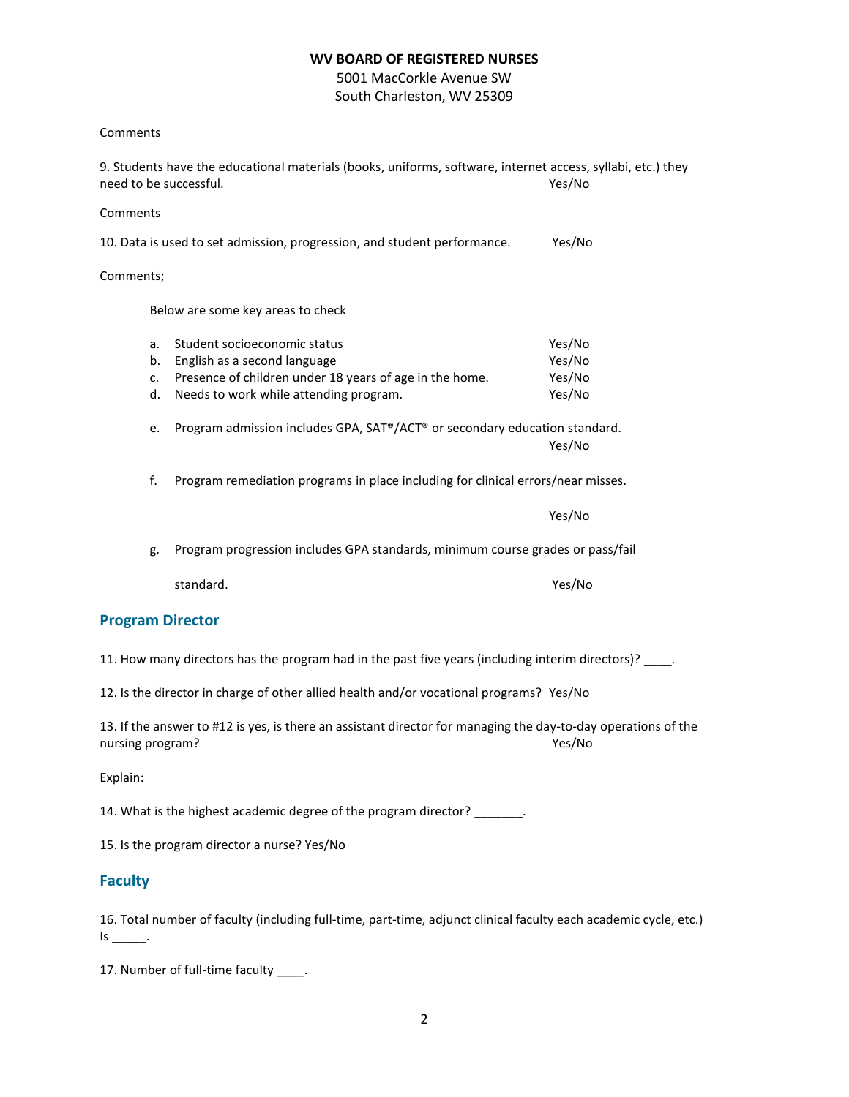5001 MacCorkle Avenue SW South Charleston, WV 25309

#### Comments

9. Students have the educational materials (books, uniforms, software, internet access, syllabi, etc.) they need to be successful. The summer of the summer of the summer of the summer of the summer of the summer of the summer of the summer of the summer of the summer of the summer of the summer of the summer of the summer of the

#### Comments

10. Data is used to set admission, progression, and student performance. Yes/No

#### Comments;

Below are some key areas to check

| a. Student socioeconomic status                            | Yes/No |
|------------------------------------------------------------|--------|
| b. English as a second language                            | Yes/No |
| c. Presence of children under 18 years of age in the home. | Yes/No |
| d. Needs to work while attending program.                  | Yes/No |

e. Program admission includes GPA, SAT®/ACT® or secondary education standard. Yes/No

f. Program remediation programs in place including for clinical errors/near misses.

Yes/No

g. Program progression includes GPA standards, minimum course grades or pass/fail

standard. Yes/No

## **Program Director**

11. How many directors has the program had in the past five years (including interim directors)? \_\_\_\_.

12. Is the director in charge of other allied health and/or vocational programs? Yes/No

13. If the answer to #12 is yes, is there an assistant director for managing the day-to-day operations of the nursing program? The contract of the contract of the contract of the contract of the contract of the contract of the contract of the contract of the contract of the contract of the contract of the contract of the contract

Explain:

14. What is the highest academic degree of the program director?

15. Is the program director a nurse? Yes/No

## **Faculty**

16. Total number of faculty (including full-time, part-time, adjunct clinical faculty each academic cycle, etc.)  $Is$  \_\_\_\_\_\_\_.

17. Number of full-time faculty \_\_\_\_\_.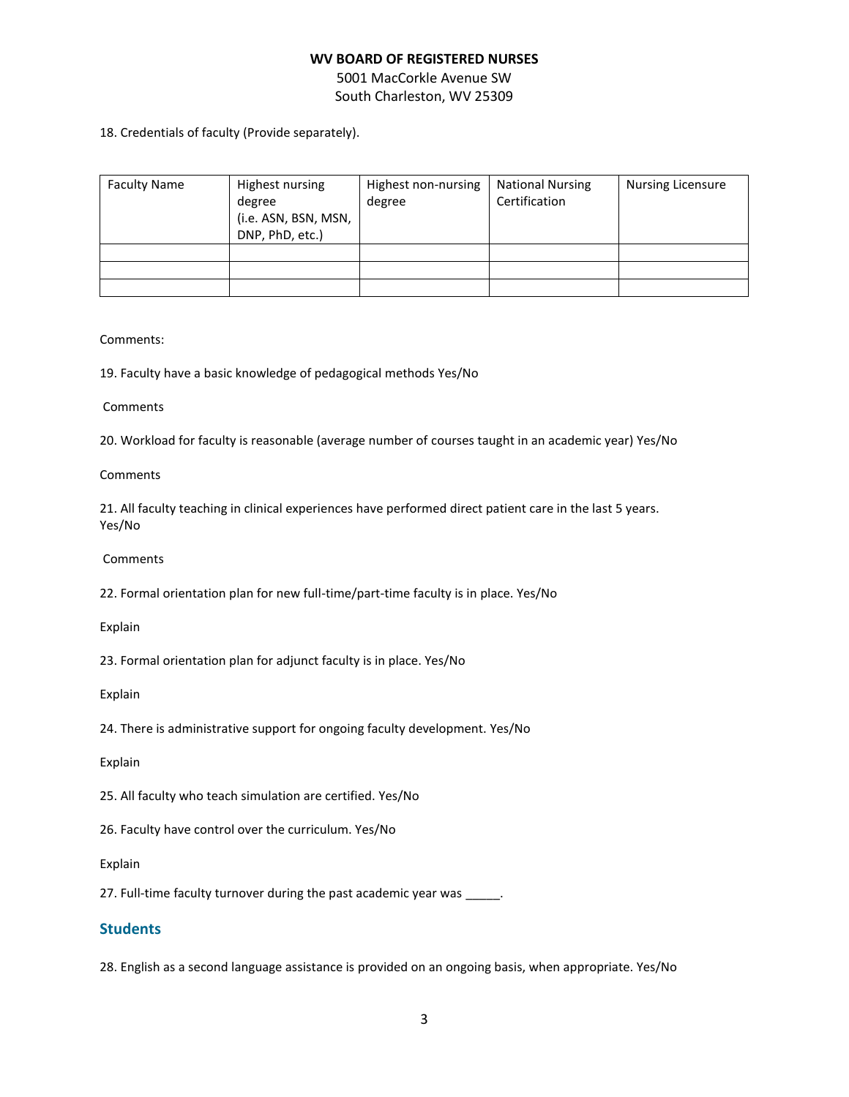5001 MacCorkle Avenue SW South Charleston, WV 25309

18. Credentials of faculty (Provide separately).

| <b>Faculty Name</b> | Highest nursing<br>degree<br>(i.e. ASN, BSN, MSN,<br>DNP, PhD, etc.) | Highest non-nursing<br>degree | <b>National Nursing</b><br>Certification | <b>Nursing Licensure</b> |
|---------------------|----------------------------------------------------------------------|-------------------------------|------------------------------------------|--------------------------|
|                     |                                                                      |                               |                                          |                          |
|                     |                                                                      |                               |                                          |                          |
|                     |                                                                      |                               |                                          |                          |

Comments:

19. Faculty have a basic knowledge of pedagogical methods Yes/No

#### **Comments**

20. Workload for faculty is reasonable (average number of courses taught in an academic year) Yes/No

#### **Comments**

21. All faculty teaching in clinical experiences have performed direct patient care in the last 5 years. Yes/No

#### **Comments**

22. Formal orientation plan for new full-time/part-time faculty is in place. Yes/No

Explain

23. Formal orientation plan for adjunct faculty is in place. Yes/No

#### Explain

24. There is administrative support for ongoing faculty development. Yes/No

Explain

25. All faculty who teach simulation are certified. Yes/No

26. Faculty have control over the curriculum. Yes/No

Explain

27. Full-time faculty turnover during the past academic year was \_\_\_\_\_.

# **Students**

28. English as a second language assistance is provided on an ongoing basis, when appropriate. Yes/No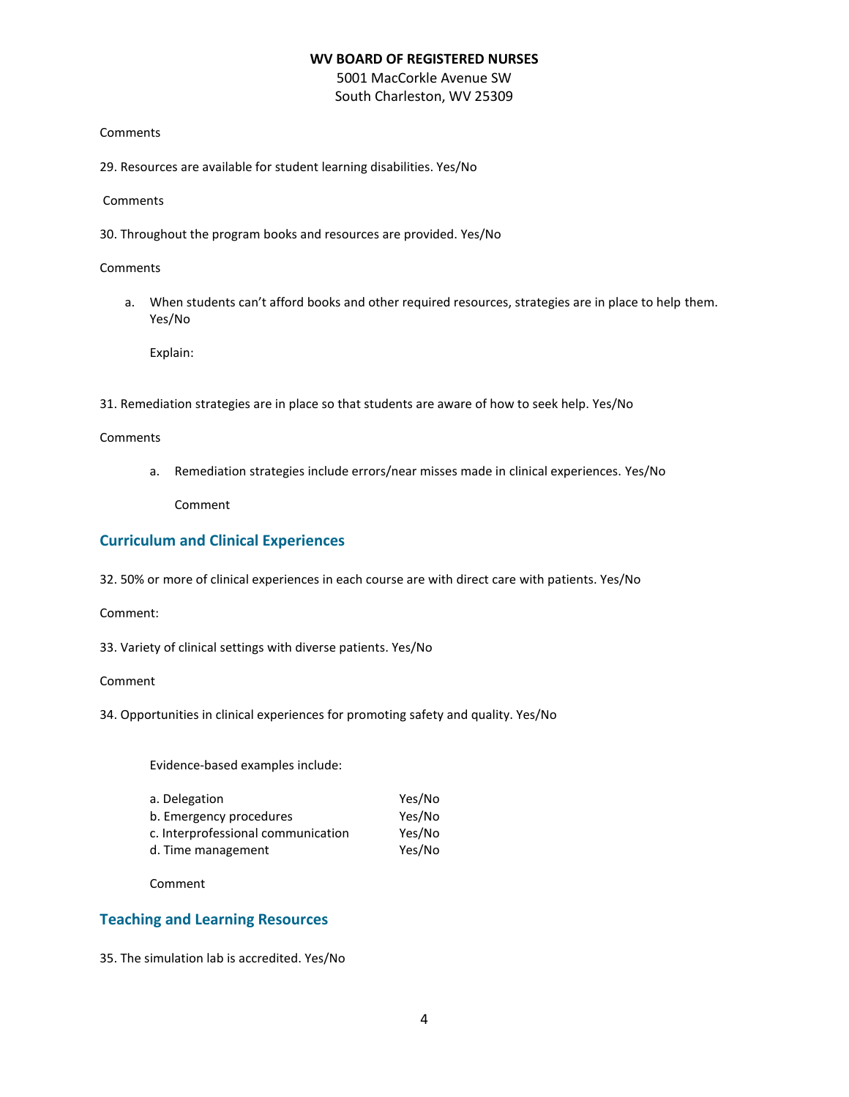5001 MacCorkle Avenue SW South Charleston, WV 25309

#### **Comments**

29. Resources are available for student learning disabilities. Yes/No

#### **Comments**

30. Throughout the program books and resources are provided. Yes/No

**Comments** 

a. When students can't afford books and other required resources, strategies are in place to help them. Yes/No

Explain:

31. Remediation strategies are in place so that students are aware of how to seek help. Yes/No

Comments

a. Remediation strategies include errors/near misses made in clinical experiences. Yes/No

Comment

# **Curriculum and Clinical Experiences**

32. 50% or more of clinical experiences in each course are with direct care with patients. Yes/No

Comment:

33. Variety of clinical settings with diverse patients. Yes/No

Comment

34. Opportunities in clinical experiences for promoting safety and quality. Yes/No

Evidence-based examples include:

| a. Delegation                      | Yes/No |
|------------------------------------|--------|
| b. Emergency procedures            | Yes/No |
| c. Interprofessional communication | Yes/No |
| d. Time management                 | Yes/No |

Comment

# **Teaching and Learning Resources**

35. The simulation lab is accredited. Yes/No